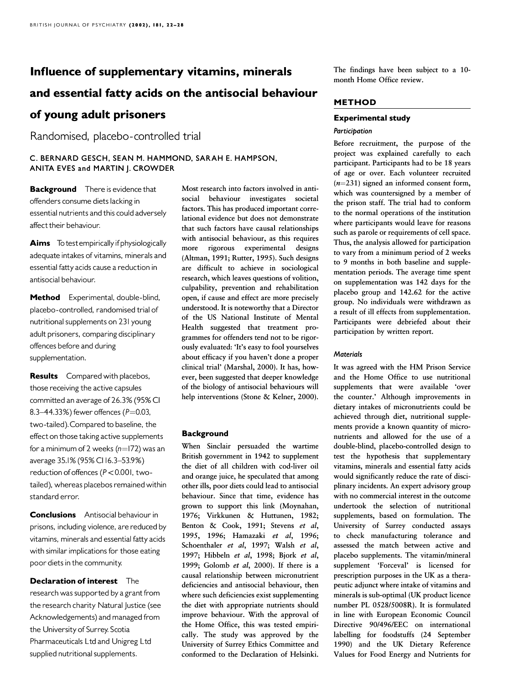# Influence of supplementary vitamins, minerals and essential fatty acids on the antisocial behaviour

## of young adult prisoners

Randomised, placebo-controlled trial

## C. BERNARD GESCH, SEAN M. HAMMOND, SARAH E. HAMPSON, ANITA EVES and MARTIN J. CROWDER

**Background** There is evidence that offenders consume diets lacking in essential nutrients and this could adversely affect their behaviour.

Aims To test empirically if physiologically adequate intakes of vitamins, minerals and essential fatty acids cause a reduction in antisocial behaviour.

Method Experimental, double-blind, placebo-controlled, randomised trial of nutritional supplements on 231 young adult prisoners, comparing disciplinary offences before and during supplementation.

Results Compared with placebos, those receiving the active capsules committed an average of 26.3% (95% CI 8.3-44.33%) fewer offences ( $P=0.03$ , two-tailed). Compared to baseline, the effect on those taking active supplements for a minimum of 2 weeks ( $n=172$ ) was an average 35.1% (95% CI16.3^53.9%) reduction of offences  $(P<0.001$ , twotailed), whereas placebos remained within standard error.

**Conclusions** Antisocial behaviour in prisons, including violence, are reduced by vitamins, minerals and essential fatty acids with similar implications for those eating poor diets in the community.

Declaration of interest The research was supported by a grant from the research charity Natural Justice (see Acknowledgements) and managed from the University of Surrey. Scotia Pharmaceuticals Ltd and Unigreg Ltd supplied nutritional supplements.

Most research into factors involved in antisocial behaviour investigates societal factors. This has produced important correlational evidence but does not demonstrate that such factors have causal relationships with antisocial behaviour, as this requires more rigorous experimental designs (Altman, 1991; Rutter, 1995). Such designs are difficult to achieve in sociological research, which leaves questions of volition, culpability, prevention and rehabilitation open, if cause and effect are more precisely understood. It is noteworthy that a Director of the US National Institute of Mental Health suggested that treatment programmes for offenders tend not to be rigorously evaluated: 'It's easy to fool yourselves about efficacy if you haven't done a proper clinical trial' (Marshal, 2000). It has, however, been suggested that deeper knowledge of the biology of antisocial behaviours will help interventions (Stone & Kelner, 2000).

## **Background**

When Sinclair persuaded the wartime British government in 1942 to supplement the diet of all children with cod-liver oil and orange juice, he speculated that among other ills, poor diets could lead to antisocial behaviour. Since that time, evidence has grown to support this link (Moynahan, 1976; Virkkunen & Huttunen, 1982; Benton & Cook, 1991; Stevens et al, 1995, 1996; Hamazaki et al, 1996; Schoenthaler et al, 1997; Walsh et al, 1997; Hibbeln et al, 1998; Bjork et al, 1999; Golomb et al, 2000). If there is a causal relationship between micronutrient deficiencies and antisocial behaviour, then where such deficiencies exist supplementing the diet with appropriate nutrients should improve behaviour. With the approval of the Home Office, this was tested empirically. The study was approved by the University of Surrey Ethics Committee and conformed to the Declaration of Helsinki.

The findings have been subject to a 10 month Home Office review.

## METHOD

## Experimental study

## **Participation**

Before recruitment, the purpose of the project was explained carefully to each participant. Participants had to be 18 years of age or over. Each volunteer recruited  $(n=231)$  signed an informed consent form, which was countersigned by a member of the prison staff. The trial had to conform to the normal operations of the institution where participants would leave for reasons such as parole or requirements of cell space. Thus, the analysis allowed for participation to vary from a minimum period of 2 weeks to 9 months in both baseline and supplementation periods. The average time spent on supplementation was 142 days for the placebo group and 142.62 for the active group. No individuals were withdrawn as a result of ill effects from supplementation. Participants were debriefed about their participation by written report.

## **Materials**

It was agreed with the HM Prison Service and the Home Office to use nutritional supplements that were available 'over the counter.' Although improvements in dietary intakes of micronutrients could be achieved through diet, nutritional supplements provide a known quantity of micronutrients and allowed for the use of a double-blind, placebo-controlled design to test the hypothesis that supplementary vitamins, minerals and essential fatty acids would significantly reduce the rate of disciplinary incidents. An expert advisory group with no commercial interest in the outcome undertook the selection of nutritional supplements, based on formulation. The University of Surrey conducted assays to check manufacturing tolerance and assessed the match between active and placebo supplements. The vitamin/mineral supplement 'Forceval' is licensed for prescription purposes in the UK as a therapeutic adjunct where intake of vitamins and minerals is sub-optimal (UK product licence number PL 0528/5008R). It is formulated in line with European Economic Council Directive 90/496/EEC on international labelling for foodstuffs (24 September 1990) and the UK Dietary Reference Values for Food Energy and Nutrients for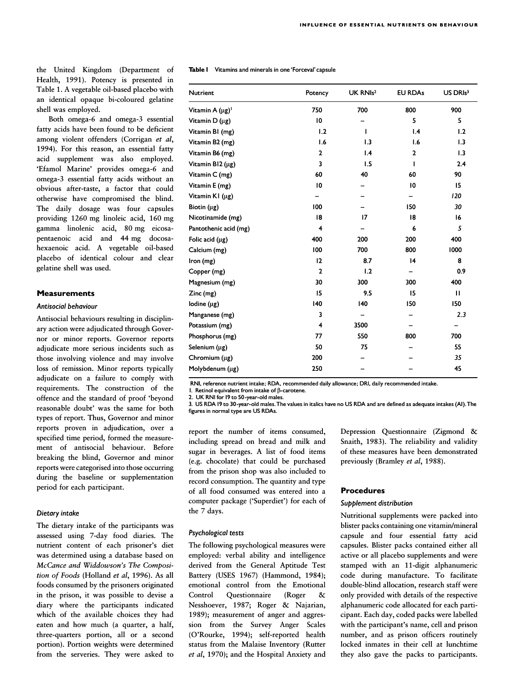the United Kingdom (Department of Health, 1991). Potency is presented in Table 1. A vegetable oil-based placebo with an identical opaque bi-coloured gelatine shell was employed.

Both omega-6 and omega-3 essential fatty acids have been found to be deficient among violent offenders (Corrigan et al, 1994). For this reason, an essential fatty acid supplement was also employed. 'Efamol Marine' provides omega-6 and omega-3 essential fatty acids without an obvious after-taste, a factor that could otherwise have compromised the blind. The daily dosage was four capsules providing 1260 mg linoleic acid, 160 mg gamma linolenic acid, 80 mg eicosapentaenoic acid and 44 mg docosahexaenoic acid. A vegetable oil-based placebo of identical colour and clear gelatine shell was used.

#### **Measurements**

#### Antisocial behaviour

Antisocial behaviours resulting in disciplinary action were adjudicated through Governor or minor reports. Governor reports adjudicate more serious incidents such as those involving violence and may involve loss of remission. Minor reports typically adjudicate on a failure to comply with requirements. The construction of the offence and the standard of proof 'beyond reasonable doubt' was the same for both types of report. Thus, Governor and minor reports proven in adjudication, over a specified time period, formed the measurement of antisocial behaviour. Before breaking the blind, Governor and minor reports were categorised into those occurring during the baseline or supplementation period for each participant.

#### Dietary intake

The dietary intake of the participants was assessed using 7-day food diaries. The nutrient content of each prisoner's diet was determined using a database based on McCance and Widdowson's The Composition of Foods (Holland et al, 1996). As all foods consumed by the prisoners originated in the prison, it was possible to devise a diary where the participants indicated which of the available choices they had eaten and how much (a quarter, a half, three-quarters portion, all or a second portion). Portion weights were determined from the serveries. They were asked to

#### Table I Vitamins and minerals in one 'Forceval' capsule

| <b>Nutrient</b>             | Potency                 | UK RNIs <sup>2</sup> | <b>EU RDAs</b>  | US DRIs <sup>3</sup> |
|-----------------------------|-------------------------|----------------------|-----------------|----------------------|
| Vitamin A (µg) <sup>1</sup> | 750                     | 700                  | 800             | 900                  |
| Vitamin $D(\mu g)$          | 10                      |                      | 5               | 5                    |
| Vitamin BI (mg)             | 1.2                     | 1                    | 1.4             | 1.2                  |
| Vitamin B2 (mg)             | 1.6                     | 1.3                  | 1.6             | 1.3                  |
| Vitamin B6 (mg)             | 2                       | 1.4                  | 2               | 1.3                  |
| Vitamin BI2 (µg)            | 3                       | 1.5                  | ı               | 2.4                  |
| Vitamin C (mg)              | 60                      | 40                   | 60              | 90                   |
| Vitamin E (mg)              | 10                      |                      | 10              | 15                   |
| Vitamin KI (µg)             |                         |                      |                 | 120                  |
| Biotin $(\mu g)$            | 100                     |                      | 150             | 30                   |
| Nicotinamide (mg)           | 18                      | 17                   | 18              | 16                   |
| Pantothenic acid (mg)       | 4                       |                      | 6               | 5                    |
| Folic acid $(\mu g)$        | 400                     | 200                  | 200             | 400                  |
| Calcium (mg)                | 100                     | 700                  | 800             | 1000                 |
| Iron (mg)                   | 12                      | 8.7                  | $\overline{14}$ | 8                    |
| Copper (mg)                 | $\mathbf{2}$            | 1.2                  |                 | 0.9                  |
| Magnesium (mg)              | 30                      | 300                  | 300             | 400                  |
| Zinc(mg)                    | 15                      | 9.5                  | 15              | $\mathbf{H}$         |
| lodine (µg)                 | 140                     | 140                  | 150             | 150                  |
| Manganese (mg)              | 3                       |                      |                 | 2.3                  |
| Potassium (mg)              | $\overline{\mathbf{4}}$ | 3500                 |                 |                      |
| Phosphorus (mg)             | 77                      | 550                  | 800             | 700                  |
| Selenium $(\mu g)$          | 50                      | 75                   |                 | 55                   |
| Chromium (µg)               | 200                     |                      |                 | 35                   |
| Molybdenum (µg)             | 250                     |                      |                 | 45                   |

RNI, reference nutrient intake; RDA, recommended daily allowance; DRI, daily recommended intake.

1. Retinol equivalent from intake of  $\beta$ -carotene.

2. UK RNI for 19 to 50 -year-old males.

3. US RDA 19 to 30-year-old males. The values in italics have no US RDA and are defined as adequate intakes (AI). The figures in normal type are US RDAs.

report the number of items consumed, including spread on bread and milk and sugar in beverages. A list of food items (e.g. chocolate) that could be purchased from the prison shop was also included to record consumption. The quantity and type of all food consumed was entered into a computer package ('Superdiet') for each of the 7 days.

#### Psychological tests

The following psychological measures were employed: verbal ability and intelligence derived from the General Aptitude Test Battery (USES 1967) (Hammond, 1984); emotional control from the Emotional Control Questionnaire (Roger & Nesshoever, 1987; Roger & Najarian, 1989); measurement of anger and aggression from the Survey Anger Scales (O'Rourke, 1994); self-reported health status from the Malaise Inventory (Rutter et al, 1970); and the Hospital Anxiety and Depression Questionnaire (Zigmond & Snaith, 1983). The reliability and validity of these measures have been demonstrated previously (Bramley et al, 1988).

#### **Procedures**

#### Supplement distribution

Nutritional supplements were packed into blister packs containing one vitamin/mineral capsule and four essential fatty acid capsules. Blister packs contained either all active or all placebo supplements and were stamped with an 11-digit alphanumeric code during manufacture. To facilitate double-blind allocation, research staff were only provided with details of the respective alphanumeric code allocated for each participant. Each day, coded packs were labelled with the participant's name, cell and prison number, and as prison officers routinely locked inmates in their cell at lunchtime they also gave the packs to participants.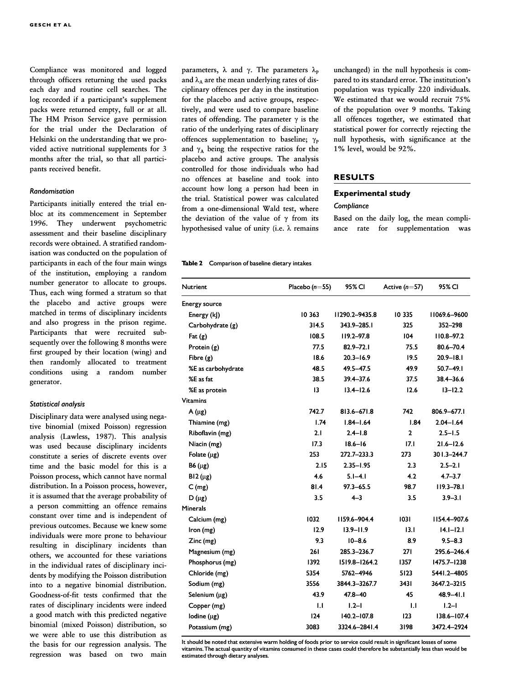Compliance was monitored and logged through officers returning the used packs each day and routine cell searches. The log recorded if a participant's supplement packs were returned empty, full or at all. The HM Prison Service gave permission for the trial under the Declaration of Helsinki on the understanding that we provided active nutritional supplements for 3 months after the trial, so that all participants received benefit.

#### Randomisation

Participants initially entered the trial enbloc at its commencement in September 1996. They underwent psychometric assessment and their baseline disciplinary records were obtained. A stratified randomisation was conducted on the population of participants in each of the four main wings of the institution, employing a random number generator to allocate to groups. Thus, each wing formed a stratum so that the placebo and active groups were matched in terms of disciplinary incidents and also progress in the prison regime. Participants that were recruited subsequently over the following 8 months were first grouped by their location (wing) and then randomly allocated to treatment conditions using a random number generator.

#### Statistical analysis

Disciplinary data were analysed using negative binomial (mixed Poisson) regression analysis (Lawless, 1987). This analysis was used because disciplinary incidents constitute a series of discrete events over time and the basic model for this is a Poisson process, which cannot have normal distribution. In a Poisson process, however, it is assumed that the average probability of a person committing an offence remains constant over time and is independent of previous outcomes. Because we knew some individuals were more prone to behaviour resulting in disciplinary incidents than others, we accounted for these variations in the individual rates of disciplinary incidents by modifying the Poisson distribution into to a negative binomial distribution. Goodness-of-fit tests confirmed that the rates of disciplinary incidents were indeed a good match with this predicted negative binomial (mixed Poisson) distribution, so we were able to use this distribution as the basis for our regression analysis. The regression was based on two main

parameters,  $\lambda$  and  $\gamma$ . The parameters  $\lambda_p$ and  $\lambda_A$  are the mean underlying rates of disciplinary offences per day in the institution for the placebo and active groups, respectively, and were used to compare baseline rates of offending. The parameter  $\gamma$  is the ratio of the underlying rates of disciplinary offences supplementation to baseline;  $\gamma_{\rm P}$ and  $\gamma_A$  being the respective ratios for the placebo and active groups. The analysis controlled for those individuals who had no offences at baseline and took into account how long a person had been in the trial. Statistical power was calculated from a one-dimensional Wald test, where the deviation of the value of  $\gamma$  from its hypothesised value of unity (i.e.  $\lambda$  remains

unchanged) in the null hypothesis is compared to its standard error. The institution's population was typically 220 individuals. We estimated that we would recruit 75% of the population over 9 months. Taking all offences together, we estimated that statistical power for correctly rejecting the null hypothesis, with significance at the 1% level, would be 92%.

#### RESULTS

## Experimental study

## **Compliance**

Based on the daily log, the mean compliance rate for supplementation was

#### Table 2 Comparison of baseline dietary intakes

| <b>Nutrient</b>      | Placebo ( $n=55$ ) | 95% CI          | Active $(n=57)$ | 95% CI         |
|----------------------|--------------------|-----------------|-----------------|----------------|
| <b>Energy source</b> |                    |                 |                 |                |
| Energy (kJ)          | 10 363             | 11290.2-9435.8  | 10 335          | 11069.6-9600   |
| Carbohydrate (g)     | 314.5              | 343.9–285.I     | 325             | 352-298        |
| Fat $(g)$            | 108.5              | $119.2 - 97.8$  | 104             | 110.8-97.2     |
| Protein (g)          | 77.5               | $82.9 - 72.1$   | 75.5            | 80.6-70.4      |
| Fibre $(g)$          | 18.6               | $20.3 - 16.9$   | 19.5            | 20.9-18.1      |
| %E as carbohydrate   | 48.5               | 49.5-47.5       | 49.9            | $50.7 - 49.1$  |
| %E as fat            | 38.5               | 39.4-37.6       | 37.5            | 38.4-36.6      |
| %E as protein        | 13                 | $13.4 - 12.6$   | 12.6            | $13 - 12.2$    |
| Vitamins             |                    |                 |                 |                |
| $A(\mu g)$           | 742.7              | 813.6-671.8     | 742             | 806.9-677.1    |
| Thiamine (mg)        | 1.74               | $1.84 - 1.64$   | 1.84            | $2.04 - 1.64$  |
| Riboflavin (mg)      | 2.1                | $2.4 - 1.8$     | $\overline{2}$  | $2.5 - 1.5$    |
| Niacin (mg)          | 17.3               | $18.6 - 16$     | 17.1            | 21.6–12.6      |
| Folate $(\mu g)$     | 253                | 272.7-233.3     | 273             | 301.3-244.7    |
| B6 $(\mu$ g)         | 2.15               | $2.35 - 1.95$   | 2.3             | $2.5 - 2.1$    |
| $B12(\mu g)$         | 4.6                | $5.1 - 4.1$     | 4.2             | $4.7 - 3.7$    |
| C(mg)                | 81.4               | $97.3 - 65.5$   | 98.7            | $119.3 - 78.1$ |
| $D(\mu g)$           | 3.5                | $4 - 3$         | 3.5             | $3.9 - 3.1$    |
| Minerals             |                    |                 |                 |                |
| Calcium (mg)         | 1032               | 1159.6-904.4    | 1031            | 1154.4-907.6   |
| Iron (mg)            | 12.9               | $13.9 - 11.9$   | 13.1            | $14.1 - 12.1$  |
| Zinc (mg)            | 9.3                | $10 - 8.6$      | 8.9             | $9.5 - 8.3$    |
| Magnesium (mg)       | 261                | 285.3-236.7     | <b>271</b>      | 295.6-246.4    |
| Phosphorus (mg)      | 1392               | 1519.8-1264.2   | 1357            | 1475.7-1238    |
| Chloride (mg)        | 5354               | 5762-4946       | 5123            | 5441.2-4805    |
| Sodium (mg)          | 3556               | 3844.3-3267.7   | 3431            | 3647.2-3215    |
| Selenium $(\mu g)$   | 43.9               | $47.8 - 40$     | 45              | $48.9 - 41.1$  |
| Copper (mg)          | $\overline{1}$ .   | $1.2 - 1$       | 1.1             | $1.2 - 1$      |
| $I$ odine (µg)       | 124                | $140.2 - 107.8$ | 123             | 138.6-107.4    |
| Potassium (mg)       | 3083               | 3324.6-2841.4   | 3198            | 3472.4-2924    |

It should be noted that extensive warm holding of foods prior to service could result in significant losses of some vitamins. The actual quantity of vitamins consumed in these cases could therefore be substantially less than would be estimated through dietary analyses.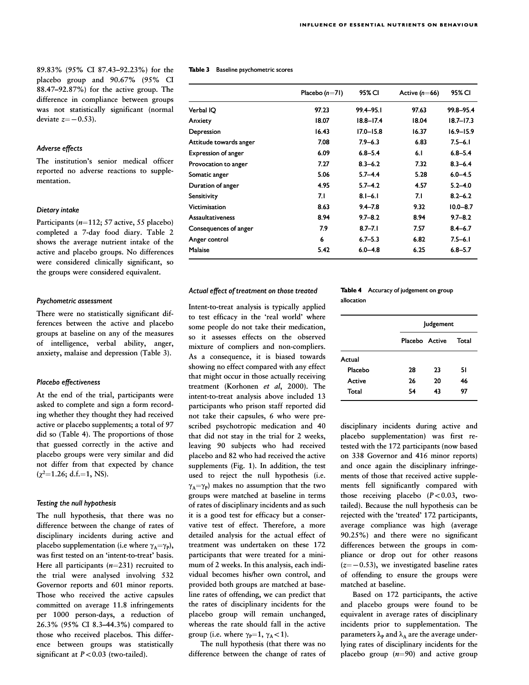89.83% (95% CI 87.43–92.23%) for the placebo group and  $90.67\%$  ( $95\%$  CI 88.47–92.87%) for the active group. The difference in compliance between groups was not statistically significant (normal deviate  $z=-0.53$ ).

#### Adverse effects

The institution's senior medical officer reported no adverse reactions to supplementation.

#### Dietary intake

Participants ( $n=112$ ; 57 active, 55 placebo) completed a 7-day food diary. Table 2 shows the average nutrient intake of the active and placebo groups. No differences were considered clinically significant, so the groups were considered equivalent.

#### Psychometric assessment

There were no statistically significant differences between the active and placebo groups at baseline on any of the measures of intelligence, verbal ability, anger, anxiety, malaise and depression (Table 3).

#### Placebo effectiveness

At the end of the trial, participants were asked to complete and sign a form recording whether they thought they had received active or placebo supplements; a total of 97 did so (Table 4). The proportions of those that guessed correctly in the active and placebo groups were very similar and did not differ from that expected by chance  $(\chi^2=1.26; d.f.=1, NS).$ 

#### Testing the null hypothesis

The null hypothesis, that there was no difference between the change of rates of disciplinary incidents during active and placebo supplementation (i.e where  $\gamma_A = \gamma_P$ ), was first tested on an 'intent-to-treat' basis. Here all participants  $(n=231)$  recruited to the trial were analysed involving 532 Governor reports and 601 minor reports. Those who received the active capsules committed on average 11.8 infringements per 1000 person-days, a reduction of 26.3% (95% CI 8.3–44.3%) compared to those who received placebos. This difference between groups was statistically significant at  $P < 0.03$  (two-tailed).

#### Table 3 Baseline psychometric scores

|                            | Placebo $(n=71)$ | 95% CI        | Active $(n=66)$ | 95% CI        |
|----------------------------|------------------|---------------|-----------------|---------------|
| Verbal IO                  | 97.23            | $99.4 - 95.1$ | 97.63           | 99.8-95.4     |
| Anxiety                    | 18.07            | $18.8 - 17.4$ | 18.04           | $18.7 - 17.3$ |
| Depression                 | 16.43            | $17.0 - 15.8$ | 16.37           | $16.9 - 15.9$ |
| Attitude towards anger     | 7.08             | $7.9 - 6.3$   | 6.83            | $7.5 - 6.1$   |
| <b>Expression of anger</b> | 6.09             | $6.8 - 5.4$   | 6.1             | $6.8 - 5.4$   |
| Provocation to anger       | 7.27             | $8.3 - 6.2$   | 7.32            | $8.3 - 6.4$   |
| Somatic anger              | 5.06             | $5.7 - 4.4$   | 5.28            | $6.0 - 4.5$   |
| Duration of anger          | 4.95             | $5.7 - 4.2$   | 4.57            | $5.2 - 4.0$   |
| Sensitivity                | 7.1              | $8.1 - 6.1$   | 7.1             | $8.2 - 6.2$   |
| Victimisation              | 8.63             | $9.4 - 7.8$   | 9.32            | $10.0 - 8.7$  |
| Assaultativeness           | 8.94             | $9.7 - 8.2$   | 8.94            | $9.7 - 8.2$   |
| Consequences of anger      | 7.9              | $8.7 - 7.1$   | 7.57            | $8.4 - 6.7$   |
| Anger control              | 6                | $6.7 - 5.3$   | 6.82            | $7.5 - 6.1$   |
| Malaise                    | 5.42             | $6.0 - 4.8$   | 6.25            | $6.8 - 5.7$   |

#### Actual effect of treatment on those treated

Intent-to-treat analysis is typically applied to test efficacy in the 'real world' where some people do not take their medication, so it assesses effects on the observed mixture of compliers and non-compliers. As a consequence, it is biased towards showing no effect compared with any effect that might occur in those actually receiving treatment (Korhonen et al, 2000). The intent-to-treat analysis above included 13 participants who prison staff reported did not take their capsules, 6 who were prescribed psychotropic medication and 40 that did not stay in the trial for 2 weeks, leaving 90 subjects who had received placebo and 82 who had received the active supplements (Fig. 1). In addition, the test used to reject the null hypothesis (i.e.  $\gamma_A = \gamma_P$ ) makes no assumption that the two groups were matched at baseline in terms of rates of disciplinary incidents and as such it is a good test for efficacy but a conservative test of effect. Therefore, a more detailed analysis for the actual effect of treatment was undertaken on these 172 participants that were treated for a minimum of 2 weeks. In this analysis, each individual becomes his/her own control, and provided both groups are matched at baseline rates of offending, we can predict that the rates of disciplinary incidents for the placebo group will remain unchanged, whereas the rate should fall in the active group (i.e. where  $\gamma_P=1$ ,  $\gamma_A<1$ ).

The null hypothesis (that there was no difference between the change of rates of

## Table 4 Accuracy of judgement on group allocation

|         |                | Judgement |       |  |  |
|---------|----------------|-----------|-------|--|--|
|         | Placebo Active |           | Total |  |  |
| Actual  |                |           |       |  |  |
| Placebo | 28             | 23        | 51    |  |  |
| Active  | 26             | 20        | 46    |  |  |
| Total   | 54             | 43        | 97    |  |  |

disciplinary incidents during active and placebo supplementation) was first retested with the 172 participants (now based on 338 Governor and 416 minor reports) and once again the disciplinary infringements of those that received active supplements fell significantly compared with those receiving placebo  $(P<0.03$ , twotailed). Because the null hypothesis can be rejected with the 'treated' 172 participants, average compliance was high (average 90.25%) and there were no significant differences between the groups in compliance or drop out for other reasons  $(z=-0.53)$ , we investigated baseline rates of offending to ensure the groups were matched at baseline.

Based on 172 participants, the active and placebo groups were found to be equivalent in average rates of disciplinary incidents prior to supplementation. The parameters  $\lambda_p$  and  $\lambda_A$  are the average underlying rates of disciplinary incidents for the placebo group  $(n=90)$  and active group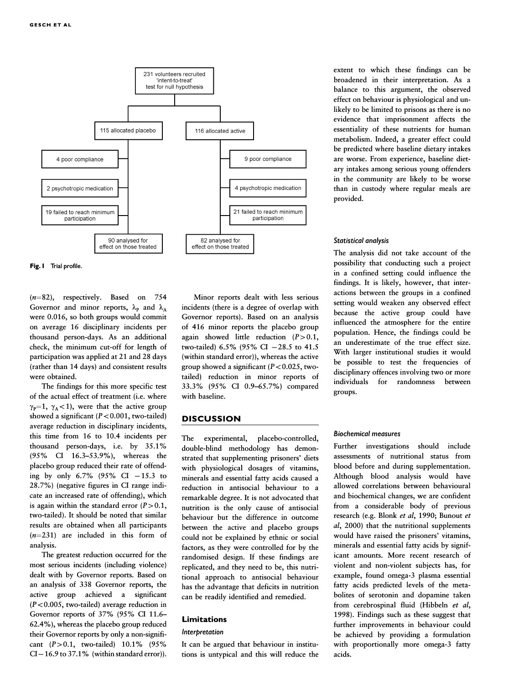



 $(n=82)$ , respectively. Based on 754 Governor and minor reports,  $\lambda_{\text{P}}$  and  $\lambda_{\text{A}}$ were 0.016, so both groups would commit on average 16 disciplinary incidents per thousand person-days. As an additional check, the minimum cut-off for length of participation was applied at 21 and 28 days (rather than 14 days) and consistent results were obtained.

The findings for this more specific test of the actual effect of treatment (i.e. where  $\gamma_{\rm p}=1$ ,  $\gamma_{\rm A}<1$ ), were that the active group showed a significant  $(P<0.001$ , two-tailed) average reduction in disciplinary incidents, this time from 16 to 10.4 incidents per thousand person-days, i.e. by 35.1% (95% CI 16.3–53.9%), whereas the placebo group reduced their rate of offending by only 6.7% (95% CI  $-15.3$  to 28.7%) (negative figures in CI range indicate an increased rate of offending), which is again within the standard error  $(P>0.1$ , two-tailed). It should be noted that similar results are obtained when all participants  $(n=231)$  are included in this form of analysis.

The greatest reduction occurred for the most serious incidents (including violence) dealt with by Governor reports. Based on an analysis of 338 Governor reports, the active group achieved a significant  $(P<0.005$ , two-tailed) average reduction in Governor reports of 37% (95% CI 11.6– 62.4%), whereas the placebo group reduced their Governor reports by only a non-significant  $(P>0.1$ , two-tailed) 10.1% (95%  $CI-16.9$  to 37.1% (within standard error)).

Minor reports dealt with less serious incidents (there is a degree of overlap with Governor reports). Based on an analysis of 416 minor reports the placebo group again showed little reduction  $(P>0.1,$ two-tailed) 6.5% (95% CI  $-28.5$  to 41.5 (within standard error)), whereas the active group showed a significant ( $P < 0.025$ , twotailed) reduction in minor reports of 33.3% (95% CI 0.9–65.7%) compared with baseline.

## DISCUSSION DISCUSSION

The experimental, placebo-controlled, double-blind methodology has demonstrated that supplementing prisoners' diets with physiological dosages of vitamins, minerals and essential fatty acids caused a reduction in antisocial behaviour to a remarkable degree. It is not advocated that nutrition is the only cause of antisocial behaviour but the difference in outcome between the active and placebo groups could not be explained by ethnic or social factors, as they were controlled for by the randomised design. If these findings are replicated, and they need to be, this nutritional approach to antisocial behaviour has the advantage that deficits in nutrition can be readily identified and remedied.

## Limitations

#### **Interpretation**

It can be argued that behaviour in institutions is untypical and this will reduce the extent to which these findings can be broadened in their interpretation. As a balance to this argument, the observed effect on behaviour is physiological and unlikely to be limited to prisons as there is no evidence that imprisonment affects the essentiality of these nutrients for human metabolism. Indeed, a greater effect could be predicted where baseline dietary intakes are worse. From experience, baseline dietary intakes among serious young offenders in the community are likely to be worse than in custody where regular meals are provided.

#### Statistical analysis

The analysis did not take account of the possibility that conducting such a project in a confined setting could influence the findings. It is likely, however, that interactions between the groups in a confined setting would weaken any observed effect because the active group could have influenced the atmosphere for the entire population. Hence, the findings could be an underestimate of the true effect size. With larger institutional studies it would be possible to test the frequencies of disciplinary offences involving two or more individuals for randomness between groups.

#### Biochemical measures

Further investigations should include assessments of nutritional status from blood before and during supplementation. Although blood analysis would have allowed correlations between behavioural and biochemical changes, we are confident from a considerable body of previous research (e.g. Blonk et al, 1990; Bunout et al, 2000) that the nutritional supplements would have raised the prisoners' vitamins, minerals and essential fatty acids by significant amounts. More recent research of violent and non-violent subjects has, for example, found omega-3 plasma essential fatty acids predicted levels of the metabolites of serotonin and dopamine taken from cerebrospinal fluid (Hibbeln et al, 1998). Findings such as these suggest that further improvements in behaviour could be achieved by providing a formulation with proportionally more omega-3 fatty acids.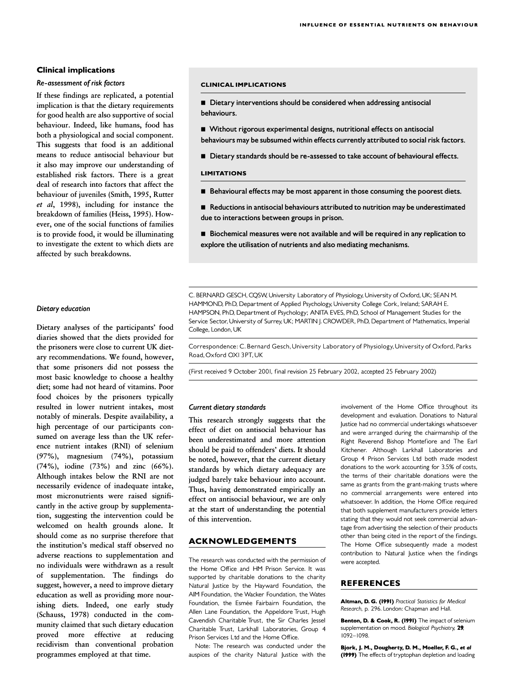#### Clinical implications

#### Re-assessment of risk factors

If these findings are replicated, a potential implication is that the dietary requirements for good health are also supportive of social behaviour. Indeed, like humans, food has both a physiological and social component. This suggests that food is an additional means to reduce antisocial behaviour but it also may improve our understanding of established risk factors. There is a great deal of research into factors that affect the behaviour of juveniles (Smith, 1995, Rutter et al, 1998), including for instance the breakdown of families (Heiss, 1995). However, one of the social functions of families is to provide food, it would be illuminating to investigate the extent to which diets are affected by such breakdowns.

## Dietary education

Dietary analyses of the participants' food diaries showed that the diets provided for the prisoners were close to current UK dietary recommendations. We found, however, that some prisoners did not possess the most basic knowledge to choose a healthy diet; some had not heard of vitamins. Poor food choices by the prisoners typically resulted in lower nutrient intakes, most notably of minerals. Despite availability, a high percentage of our participants consumed on average less than the UK reference nutrient intakes (RNI) of selenium (97%), magnesium (74%), potassium (74%), iodine (73%) and zinc (66%). Although intakes below the RNI are not necessarily evidence of inadequate intake, most micronutrients were raised significantly in the active group by supplementation, suggesting the intervention could be welcomed on health grounds alone. It should come as no surprise therefore that the institution's medical staff observed no adverse reactions to supplementation and no individuals were withdrawn as a result of supplementation. The findings do suggest, however, a need to improve dietary education as well as providing more nourishing diets. Indeed, one early study (Schauss, 1978) conducted in the community claimed that such dietary education proved more effective at reducing recidivism than conventional probation programmes employed at that time.

#### **CLINICAL IMPLICATIONS**

■ Dietary interventions should be considered when addressing antisocial behaviours.

Without rigorous experimental designs, nutritional effects on antisocial behaviours may be subsumed within effects currently attributed to social risk factors.

Dietary standards should be re-assessed to take account of behavioural effects.

#### LIMITATIONS

- Behavioural effects may be most apparent in those consuming the poorest diets.
- $\blacksquare$  Reductions in antisocial behaviours attributed to nutrition may be underestimated due to interactions between groups in prison.
- Biochemical measures were not available and will be required in any replication to explore the utilisation of nutrients and also mediating mechanisms.

C. BERNARD GESCH, CQSW, University Laboratory of Physiology, University of Oxford, UK; SEAN M. HAMMOND, PhD, Department of Applied Psychology, University College Cork, Ireland; SARAH E. HAMPSON, PhD, Department of Psychology; ANITA EVES, PhD, School of Management Studies for the Service Sector, University of Surrey, UK; MARTIN J. CROWDER, PhD, Department of Mathematics, Imperial College, London, UK

Correspondence: C. Bernard Gesch, University Laboratory of Physiology, University of Oxford, Parks Road,Oxford OX1 3PT,UK

(First received 9 October 2001, final revision 25 February 2002, accepted 25 February 2002)

#### Current dietary standards

This research strongly suggests that the effect of diet on antisocial behaviour has been underestimated and more attention should be paid to offenders' diets. It should be noted, however, that the current dietary standards by which dietary adequacy are judged barely take behaviour into account. Thus, having demonstrated empirically an effect on antisocial behaviour, we are only at the start of understanding the potential of this intervention.

## ACKNOWLEDGEMENTS

The research was conducted with the permission of the Home Office and HM Prison Service. It was supported by charitable donations to the charity Natural Justice by the Hayward Foundation, the AIM Foundation, the Wacker Foundation, the Wates Foundation, the Esmée Fairbairn Foundation, the Allen Lane Foundation, the Appeldore Trust, Hugh Cavendish Charitable Trust, the Sir Charles Jessel Charitable Trust, Larkhall Laboratories, Group 4 Prison Services Ltd and the Home Office.

Note: The research was conducted under the auspices of the charity Natural Justice with the involvement of the Home Office throughout its development and evaluation. Donations to Natural Justice had no commercial undertakings whatsoever and were arranged during the chairmanship of the Right Reverend Bishop Montefiore and The Earl Kitchener. Although Larkhall Laboratories and Group 4 Prison Services Ltd both made modest donations to the work accounting for 3.5% of costs, the terms of their charitable donations were the same as grants from the grant-making trusts where no commercial arrangements were entered into whatsoever. In addition, the Home Office required that both supplement manufacturers provide letters stating that they would not seek commercial advantage from advertising the selection of their products other than being cited in the report of the findings. The Home Office subsequently made a modest contribution to Natural Justice when the findings were accepted.

#### **REFERENCES**

Altman, D. G. (1991) Practical Statistics for Medical Research, p. 296. London: Chapman and Hall.

Benton, D. & Cook, R. (1991) The impact of selenium supplementation on mood. Biological Psychiatry, 29,  $1092 - 1098.$ 

Bjork, J. M., Dougherty, D. M., Moeller, F. G., et al (1999) The effects of tryptophan depletion and loading